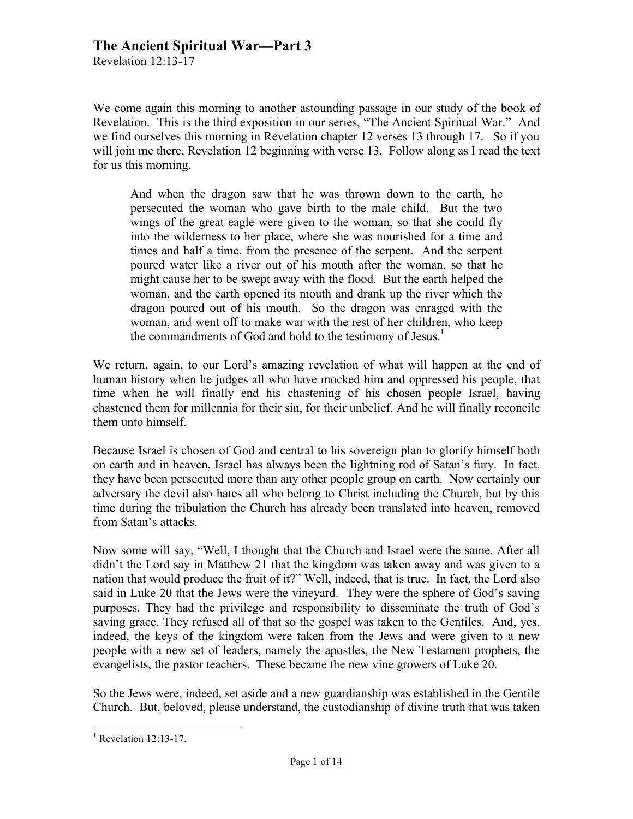Revelation 12:13-17

We come again this morning to another astounding passage in our study of the book of Revelation. This is the third exposition in our series, "The Ancient Spiritual War." And we find ourselves this morning in Revelation chapter 12 verses 13 through 17. So if you will join me there, Revelation 12 beginning with verse 13. Follow along as I read the text for us this morning.

And when the dragon saw that he was thrown down to the earth, he persecuted the woman who gave birth to the male child. But the two wings of the great eagle were given to the woman, so that she could fly into the wilderness to her place, where she was nourished for a time and times and half a time, from the presence of the serpent. And the serpent poured water like a river out of his mouth after the woman, so that he might cause her to be swept away with the flood. But the earth helped the woman, and the earth opened its mouth and drank up the river which the dragon poured out of his mouth. So the dragon was enraged with the woman, and went off to make war with the rest of her children, who keep the commandments of God and hold to the testimony of Jesus.<sup>1</sup>

We return, again, to our Lord's amazing revelation of what will happen at the end of human history when he judges all who have mocked him and oppressed his people, that time when he will finally end his chastening of his chosen people Israel, having chastened them for millennia for their sin, for their unbelief. And he will finally reconcile them unto himself.

Because Israel is chosen of God and central to his sovereign plan to glorify himself both on earth and in heaven, Israel has always been the lightning rod of Satan's fury. In fact, they have been persecuted more than any other people group on earth. Now certainly our adversary the devil also hates all who belong to Christ including the Church, but by this time during the tribulation the Church has already been translated into heaven, removed from Satan's attacks.

Now some will say, "Well, I thought that the Church and Israel were the same. After all didn't the Lord say in Matthew 21 that the kingdom was taken away and was given to a nation that would produce the fruit of it?" Well, indeed, that is true. In fact, the Lord also said in Luke 20 that the Jews were the vineyard. They were the sphere of God's saving purposes. They had the privilege and responsibility to disseminate the truth of God's saving grace. They refused all of that so the gospel was taken to the Gentiles. And, yes, indeed, the keys of the kingdom were taken from the Jews and were given to a new people with a new set of leaders, namely the apostles, the New Testament prophets, the evangelists, the pastor teachers. These became the new vine growers of Luke 20.

So the Jews were, indeed, set aside and a new guardianship was established in the Gentile Church. But, beloved, please understand, the custodianship of divine truth that was taken

 $\frac{1}{1}$ Revelation 12:13-17.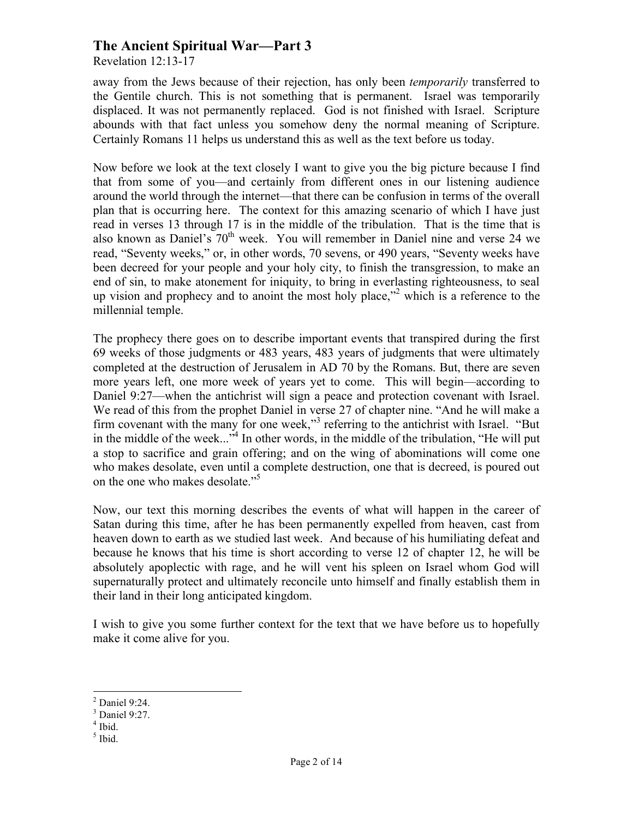Revelation 12:13-17

away from the Jews because of their rejection, has only been *temporarily* transferred to the Gentile church. This is not something that is permanent. Israel was temporarily displaced. It was not permanently replaced. God is not finished with Israel. Scripture abounds with that fact unless you somehow deny the normal meaning of Scripture. Certainly Romans 11 helps us understand this as well as the text before us today.

Now before we look at the text closely I want to give you the big picture because I find that from some of you—and certainly from different ones in our listening audience around the world through the internet—that there can be confusion in terms of the overall plan that is occurring here. The context for this amazing scenario of which I have just read in verses 13 through 17 is in the middle of the tribulation. That is the time that is also known as Daniel's  $70<sup>th</sup>$  week. You will remember in Daniel nine and verse 24 we read, "Seventy weeks," or, in other words, 70 sevens, or 490 years, "Seventy weeks have been decreed for your people and your holy city, to finish the transgression, to make an end of sin, to make atonement for iniquity, to bring in everlasting righteousness, to seal up vision and prophecy and to anoint the most holy place,"<sup>2</sup> which is a reference to the millennial temple.

The prophecy there goes on to describe important events that transpired during the first 69 weeks of those judgments or 483 years, 483 years of judgments that were ultimately completed at the destruction of Jerusalem in AD 70 by the Romans. But, there are seven more years left, one more week of years yet to come. This will begin—according to Daniel 9:27—when the antichrist will sign a peace and protection covenant with Israel. We read of this from the prophet Daniel in verse 27 of chapter nine. "And he will make a firm covenant with the many for one week,"<sup>3</sup> referring to the antichrist with Israel. "But in the middle of the week..."<sup>4</sup> In other words, in the middle of the tribulation, "He will put a stop to sacrifice and grain offering; and on the wing of abominations will come one who makes desolate, even until a complete destruction, one that is decreed, is poured out on the one who makes desolate." 5

Now, our text this morning describes the events of what will happen in the career of Satan during this time, after he has been permanently expelled from heaven, cast from heaven down to earth as we studied last week. And because of his humiliating defeat and because he knows that his time is short according to verse 12 of chapter 12, he will be absolutely apoplectic with rage, and he will vent his spleen on Israel whom God will supernaturally protect and ultimately reconcile unto himself and finally establish them in their land in their long anticipated kingdom.

I wish to give you some further context for the text that we have before us to hopefully make it come alive for you.

5 Ibid.

 $\frac{1}{2}$  $<sup>2</sup>$  Daniel 9:24.</sup>

<sup>3</sup> Daniel 9:27.

<sup>4</sup> Ibid.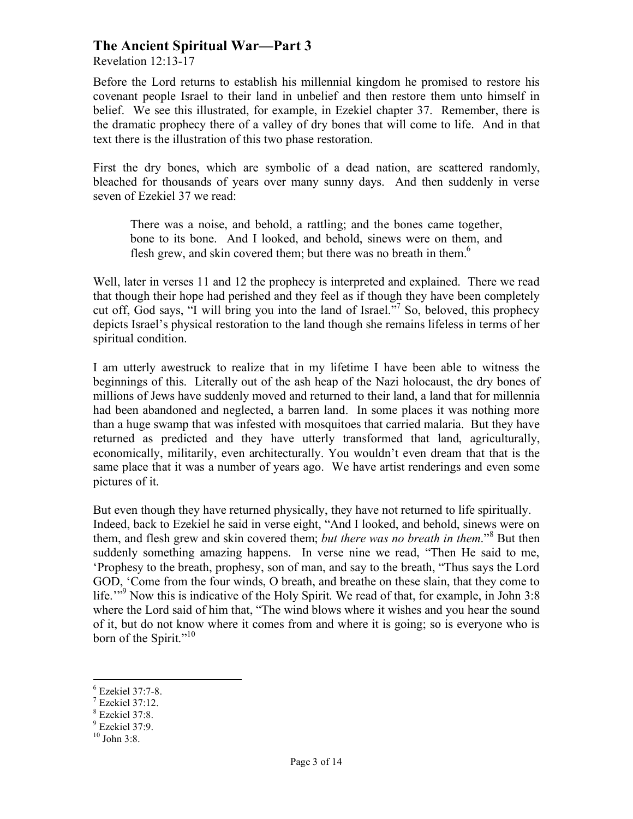Revelation 12:13-17

Before the Lord returns to establish his millennial kingdom he promised to restore his covenant people Israel to their land in unbelief and then restore them unto himself in belief. We see this illustrated, for example, in Ezekiel chapter 37. Remember, there is the dramatic prophecy there of a valley of dry bones that will come to life. And in that text there is the illustration of this two phase restoration.

First the dry bones, which are symbolic of a dead nation, are scattered randomly, bleached for thousands of years over many sunny days. And then suddenly in verse seven of Ezekiel 37 we read:

There was a noise, and behold, a rattling; and the bones came together, bone to its bone. And I looked, and behold, sinews were on them, and flesh grew, and skin covered them; but there was no breath in them.<sup>6</sup>

Well, later in verses 11 and 12 the prophecy is interpreted and explained. There we read that though their hope had perished and they feel as if though they have been completely cut off, God says, "I will bring you into the land of Israel."<sup>7</sup> So, beloved, this prophecy depicts Israel's physical restoration to the land though she remains lifeless in terms of her spiritual condition.

I am utterly awestruck to realize that in my lifetime I have been able to witness the beginnings of this. Literally out of the ash heap of the Nazi holocaust, the dry bones of millions of Jews have suddenly moved and returned to their land, a land that for millennia had been abandoned and neglected, a barren land. In some places it was nothing more than a huge swamp that was infested with mosquitoes that carried malaria. But they have returned as predicted and they have utterly transformed that land, agriculturally, economically, militarily, even architecturally. You wouldn't even dream that that is the same place that it was a number of years ago. We have artist renderings and even some pictures of it.

But even though they have returned physically, they have not returned to life spiritually. Indeed, back to Ezekiel he said in verse eight, "And I looked, and behold, sinews were on them, and flesh grew and skin covered them; *but there was no breath in them*."<sup>8</sup> But then suddenly something amazing happens. In verse nine we read, "Then He said to me, 'Prophesy to the breath, prophesy, son of man, and say to the breath, "Thus says the Lord GOD, 'Come from the four winds, O breath, and breathe on these slain, that they come to life."<sup>9</sup> Now this is indicative of the Holy Spirit. We read of that, for example, in John 3:8 where the Lord said of him that, "The wind blows where it wishes and you hear the sound of it, but do not know where it comes from and where it is going; so is everyone who is born of the Spirit."<sup>10</sup>

 <sup>6</sup>  $6$  Ezekiel 37:7-8.

Ezekiel 37:12.

<sup>8</sup> Ezekiel 37:8.

 $9$  Ezekiel 37:9.

 $10$  John 3:8.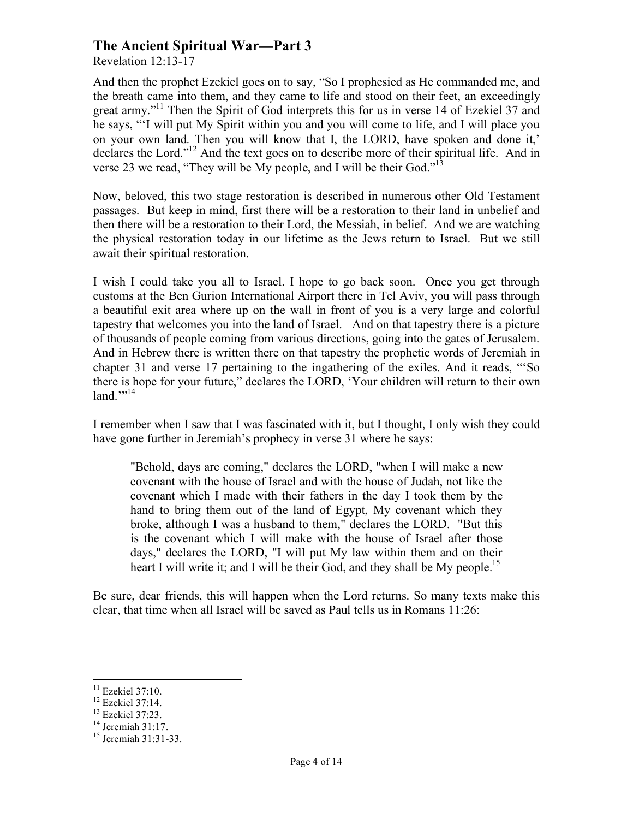Revelation 12:13-17

And then the prophet Ezekiel goes on to say, "So I prophesied as He commanded me, and the breath came into them, and they came to life and stood on their feet, an exceedingly great army."<sup>11</sup> Then the Spirit of God interprets this for us in verse 14 of Ezekiel 37 and he says, "'I will put My Spirit within you and you will come to life, and I will place you on your own land. Then you will know that I, the LORD, have spoken and done it,' declares the Lord."12 And the text goes on to describe more of their spiritual life. And in verse 23 we read, "They will be My people, and I will be their God."<sup>13</sup>

Now, beloved, this two stage restoration is described in numerous other Old Testament passages. But keep in mind, first there will be a restoration to their land in unbelief and then there will be a restoration to their Lord, the Messiah, in belief. And we are watching the physical restoration today in our lifetime as the Jews return to Israel. But we still await their spiritual restoration.

I wish I could take you all to Israel. I hope to go back soon. Once you get through customs at the Ben Gurion International Airport there in Tel Aviv, you will pass through a beautiful exit area where up on the wall in front of you is a very large and colorful tapestry that welcomes you into the land of Israel. And on that tapestry there is a picture of thousands of people coming from various directions, going into the gates of Jerusalem. And in Hebrew there is written there on that tapestry the prophetic words of Jeremiah in chapter 31 and verse 17 pertaining to the ingathering of the exiles. And it reads, "'So there is hope for your future," declares the LORD, 'Your children will return to their own  $land.$ <sup>">14</sup>}

I remember when I saw that I was fascinated with it, but I thought, I only wish they could have gone further in Jeremiah's prophecy in verse 31 where he says:

"Behold, days are coming," declares the LORD, "when I will make a new covenant with the house of Israel and with the house of Judah, not like the covenant which I made with their fathers in the day I took them by the hand to bring them out of the land of Egypt, My covenant which they broke, although I was a husband to them," declares the LORD. "But this is the covenant which I will make with the house of Israel after those days," declares the LORD, "I will put My law within them and on their heart I will write it; and I will be their God, and they shall be My people.<sup>15</sup>

Be sure, dear friends, this will happen when the Lord returns. So many texts make this clear, that time when all Israel will be saved as Paul tells us in Romans 11:26:

<sup>&</sup>lt;sup>11</sup> Ezekiel 37:10.<br><sup>12</sup> Ezekiel 37:14.

<sup>13</sup> Ezekiel 37:23.

 $14 \overline{\text{Jeremiah}} 31:17.$ 

<sup>15</sup> Jeremiah 31:31-33.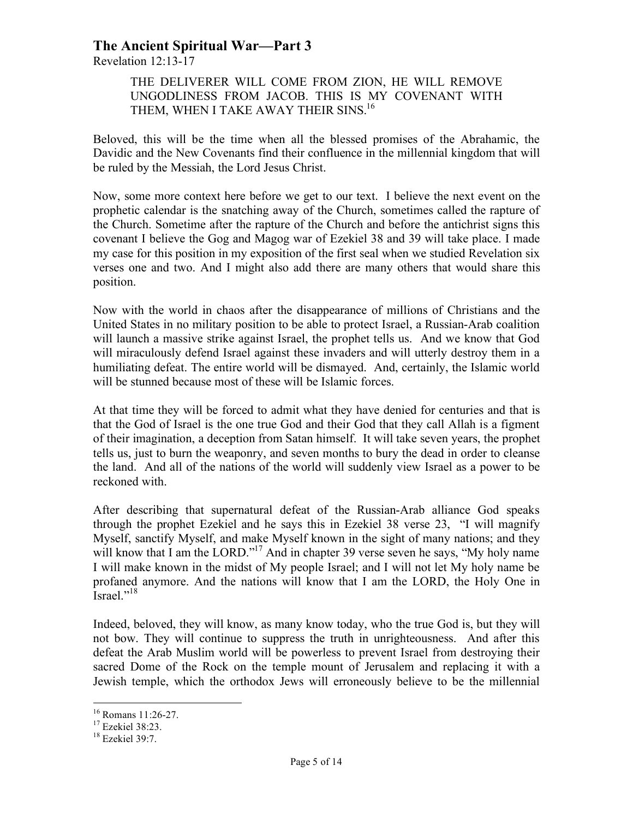Revelation 12:13-17

#### THE DELIVERER WILL COME FROM ZION, HE WILL REMOVE UNGODLINESS FROM JACOB. THIS IS MY COVENANT WITH THEM, WHEN I TAKE AWAY THEIR SINS.<sup>16</sup>

Beloved, this will be the time when all the blessed promises of the Abrahamic, the Davidic and the New Covenants find their confluence in the millennial kingdom that will be ruled by the Messiah, the Lord Jesus Christ.

Now, some more context here before we get to our text. I believe the next event on the prophetic calendar is the snatching away of the Church, sometimes called the rapture of the Church. Sometime after the rapture of the Church and before the antichrist signs this covenant I believe the Gog and Magog war of Ezekiel 38 and 39 will take place. I made my case for this position in my exposition of the first seal when we studied Revelation six verses one and two. And I might also add there are many others that would share this position.

Now with the world in chaos after the disappearance of millions of Christians and the United States in no military position to be able to protect Israel, a Russian-Arab coalition will launch a massive strike against Israel, the prophet tells us. And we know that God will miraculously defend Israel against these invaders and will utterly destroy them in a humiliating defeat. The entire world will be dismayed. And, certainly, the Islamic world will be stunned because most of these will be Islamic forces.

At that time they will be forced to admit what they have denied for centuries and that is that the God of Israel is the one true God and their God that they call Allah is a figment of their imagination, a deception from Satan himself. It will take seven years, the prophet tells us, just to burn the weaponry, and seven months to bury the dead in order to cleanse the land. And all of the nations of the world will suddenly view Israel as a power to be reckoned with.

After describing that supernatural defeat of the Russian-Arab alliance God speaks through the prophet Ezekiel and he says this in Ezekiel 38 verse 23, "I will magnify Myself, sanctify Myself, and make Myself known in the sight of many nations; and they will know that I am the LORD."<sup>17</sup> And in chapter 39 verse seven he says, "My holy name I will make known in the midst of My people Israel; and I will not let My holy name be profaned anymore. And the nations will know that I am the LORD, the Holy One in Israel."<sup>18</sup>

Indeed, beloved, they will know, as many know today, who the true God is, but they will not bow. They will continue to suppress the truth in unrighteousness. And after this defeat the Arab Muslim world will be powerless to prevent Israel from destroying their sacred Dome of the Rock on the temple mount of Jerusalem and replacing it with a Jewish temple, which the orthodox Jews will erroneously believe to be the millennial

<sup>&</sup>lt;sup>16</sup> Romans 11:26-27.<br><sup>17</sup> Ezekiel 38:23.

<sup>18</sup> Ezekiel 39:7.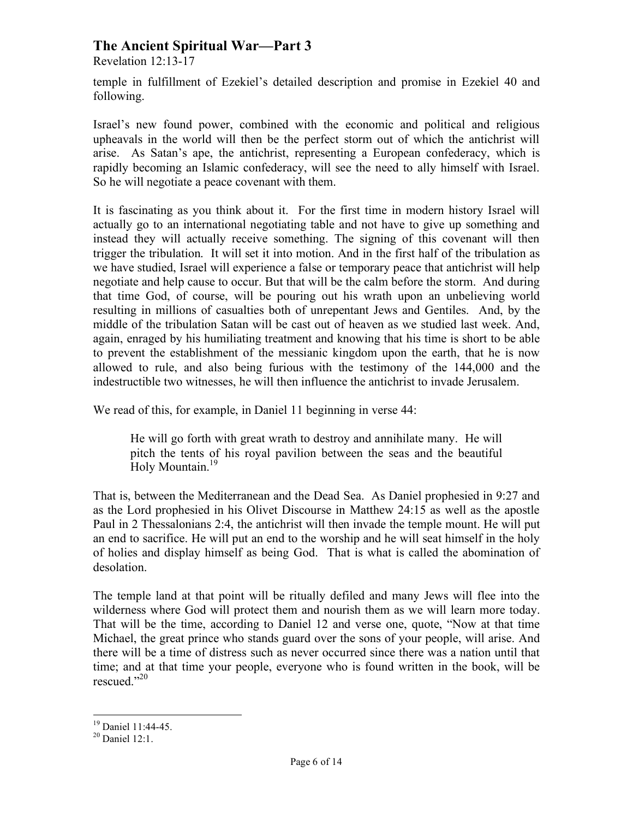Revelation 12:13-17

temple in fulfillment of Ezekiel's detailed description and promise in Ezekiel 40 and following.

Israel's new found power, combined with the economic and political and religious upheavals in the world will then be the perfect storm out of which the antichrist will arise. As Satan's ape, the antichrist, representing a European confederacy, which is rapidly becoming an Islamic confederacy, will see the need to ally himself with Israel. So he will negotiate a peace covenant with them.

It is fascinating as you think about it. For the first time in modern history Israel will actually go to an international negotiating table and not have to give up something and instead they will actually receive something. The signing of this covenant will then trigger the tribulation. It will set it into motion. And in the first half of the tribulation as we have studied, Israel will experience a false or temporary peace that antichrist will help negotiate and help cause to occur. But that will be the calm before the storm. And during that time God, of course, will be pouring out his wrath upon an unbelieving world resulting in millions of casualties both of unrepentant Jews and Gentiles. And, by the middle of the tribulation Satan will be cast out of heaven as we studied last week. And, again, enraged by his humiliating treatment and knowing that his time is short to be able to prevent the establishment of the messianic kingdom upon the earth, that he is now allowed to rule, and also being furious with the testimony of the 144,000 and the indestructible two witnesses, he will then influence the antichrist to invade Jerusalem.

We read of this, for example, in Daniel 11 beginning in verse 44:

He will go forth with great wrath to destroy and annihilate many. He will pitch the tents of his royal pavilion between the seas and the beautiful Holy Mountain.<sup>19</sup>

That is, between the Mediterranean and the Dead Sea. As Daniel prophesied in 9:27 and as the Lord prophesied in his Olivet Discourse in Matthew 24:15 as well as the apostle Paul in 2 Thessalonians 2:4, the antichrist will then invade the temple mount. He will put an end to sacrifice. He will put an end to the worship and he will seat himself in the holy of holies and display himself as being God. That is what is called the abomination of desolation.

The temple land at that point will be ritually defiled and many Jews will flee into the wilderness where God will protect them and nourish them as we will learn more today. That will be the time, according to Daniel 12 and verse one, quote, "Now at that time Michael, the great prince who stands guard over the sons of your people, will arise. And there will be a time of distress such as never occurred since there was a nation until that time; and at that time your people, everyone who is found written in the book, will be rescued." 20

<sup>&</sup>lt;sup>19</sup> Daniel 11:44-45.<br><sup>20</sup> Daniel 12:1.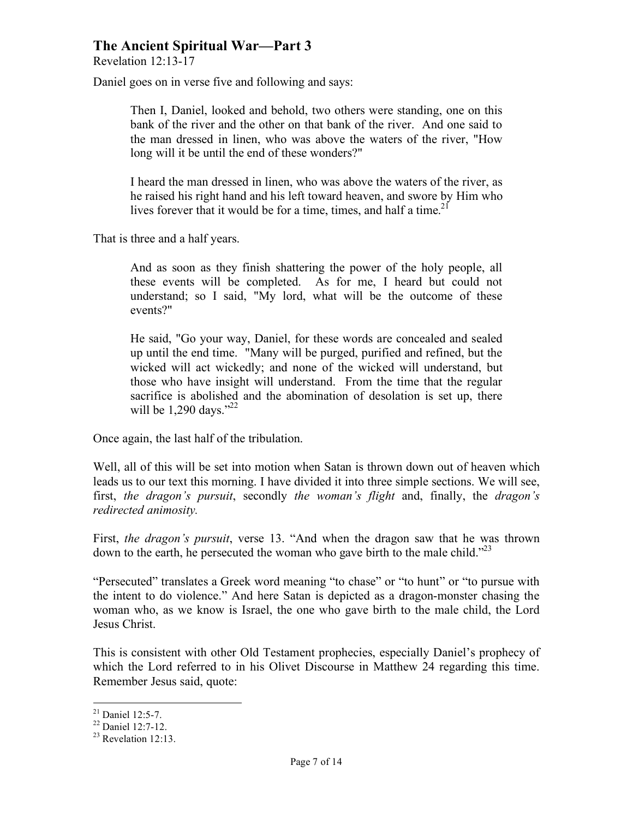Revelation 12:13-17

Daniel goes on in verse five and following and says:

Then I, Daniel, looked and behold, two others were standing, one on this bank of the river and the other on that bank of the river. And one said to the man dressed in linen, who was above the waters of the river, "How long will it be until the end of these wonders?"

I heard the man dressed in linen, who was above the waters of the river, as he raised his right hand and his left toward heaven, and swore by Him who lives forever that it would be for a time, times, and half a time.<sup>21</sup>

That is three and a half years.

And as soon as they finish shattering the power of the holy people, all these events will be completed. As for me, I heard but could not understand; so I said, "My lord, what will be the outcome of these events?"

He said, "Go your way, Daniel, for these words are concealed and sealed up until the end time. "Many will be purged, purified and refined, but the wicked will act wickedly; and none of the wicked will understand, but those who have insight will understand. From the time that the regular sacrifice is abolished and the abomination of desolation is set up, there will be 1,290 days."<sup>22</sup>

Once again, the last half of the tribulation.

Well, all of this will be set into motion when Satan is thrown down out of heaven which leads us to our text this morning. I have divided it into three simple sections. We will see, first, *the dragon's pursuit*, secondly *the woman's flight* and, finally, the *dragon's redirected animosity.*

First, *the dragon's pursuit*, verse 13. "And when the dragon saw that he was thrown down to the earth, he persecuted the woman who gave birth to the male child."<sup>23</sup>

"Persecuted" translates a Greek word meaning "to chase" or "to hunt" or "to pursue with the intent to do violence." And here Satan is depicted as a dragon-monster chasing the woman who, as we know is Israel, the one who gave birth to the male child, the Lord Jesus Christ.

This is consistent with other Old Testament prophecies, especially Daniel's prophecy of which the Lord referred to in his Olivet Discourse in Matthew 24 regarding this time. Remember Jesus said, quote:

<sup>&</sup>lt;sup>21</sup> Daniel 12:5-7.<br><sup>22</sup> Daniel 12:7-12.<br><sup>23</sup> Revelation 12:13.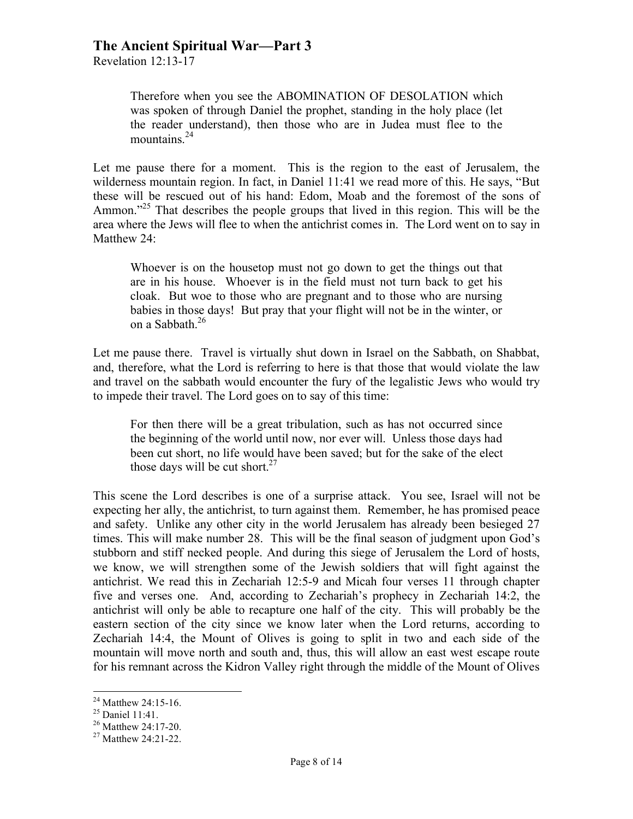Revelation 12:13-17

Therefore when you see the ABOMINATION OF DESOLATION which was spoken of through Daniel the prophet, standing in the holy place (let the reader understand), then those who are in Judea must flee to the mountains.<sup>24</sup>

Let me pause there for a moment. This is the region to the east of Jerusalem, the wilderness mountain region. In fact, in Daniel 11:41 we read more of this. He says, "But these will be rescued out of his hand: Edom, Moab and the foremost of the sons of Ammon."<sup>25</sup> That describes the people groups that lived in this region. This will be the area where the Jews will flee to when the antichrist comes in. The Lord went on to say in Matthew 24:

Whoever is on the housetop must not go down to get the things out that are in his house. Whoever is in the field must not turn back to get his cloak. But woe to those who are pregnant and to those who are nursing babies in those days! But pray that your flight will not be in the winter, or on a Sabbath.<sup>26</sup>

Let me pause there. Travel is virtually shut down in Israel on the Sabbath, on Shabbat, and, therefore, what the Lord is referring to here is that those that would violate the law and travel on the sabbath would encounter the fury of the legalistic Jews who would try to impede their travel. The Lord goes on to say of this time:

For then there will be a great tribulation, such as has not occurred since the beginning of the world until now, nor ever will. Unless those days had been cut short, no life would have been saved; but for the sake of the elect those days will be cut short. $27$ 

This scene the Lord describes is one of a surprise attack. You see, Israel will not be expecting her ally, the antichrist, to turn against them. Remember, he has promised peace and safety. Unlike any other city in the world Jerusalem has already been besieged 27 times. This will make number 28. This will be the final season of judgment upon God's stubborn and stiff necked people. And during this siege of Jerusalem the Lord of hosts, we know, we will strengthen some of the Jewish soldiers that will fight against the antichrist. We read this in Zechariah 12:5-9 and Micah four verses 11 through chapter five and verses one. And, according to Zechariah's prophecy in Zechariah 14:2, the antichrist will only be able to recapture one half of the city. This will probably be the eastern section of the city since we know later when the Lord returns, according to Zechariah 14:4, the Mount of Olives is going to split in two and each side of the mountain will move north and south and, thus, this will allow an east west escape route for his remnant across the Kidron Valley right through the middle of the Mount of Olives

<sup>&</sup>lt;sup>24</sup> Matthew 24:15-16.<br><sup>25</sup> Daniel 11:41.<br><sup>26</sup> Matthew 24:17-20.<br><sup>27</sup> Matthew 24:21-22.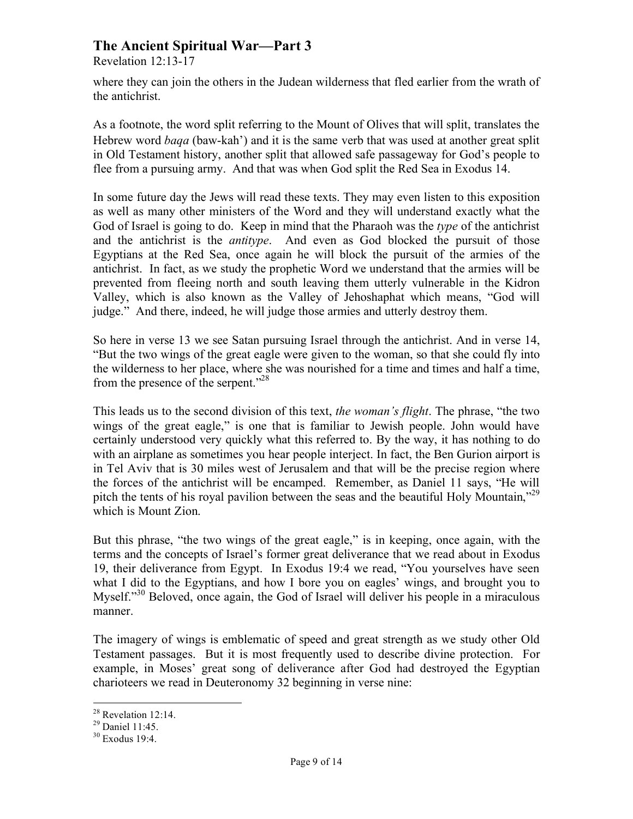Revelation 12:13-17

where they can join the others in the Judean wilderness that fled earlier from the wrath of the antichrist.

As a footnote, the word split referring to the Mount of Olives that will split, translates the Hebrew word *baqa* (baw-kah') and it is the same verb that was used at another great split in Old Testament history, another split that allowed safe passageway for God's people to flee from a pursuing army. And that was when God split the Red Sea in Exodus 14.

In some future day the Jews will read these texts. They may even listen to this exposition as well as many other ministers of the Word and they will understand exactly what the God of Israel is going to do. Keep in mind that the Pharaoh was the *type* of the antichrist and the antichrist is the *antitype*. And even as God blocked the pursuit of those Egyptians at the Red Sea, once again he will block the pursuit of the armies of the antichrist. In fact, as we study the prophetic Word we understand that the armies will be prevented from fleeing north and south leaving them utterly vulnerable in the Kidron Valley, which is also known as the Valley of Jehoshaphat which means, "God will judge." And there, indeed, he will judge those armies and utterly destroy them.

So here in verse 13 we see Satan pursuing Israel through the antichrist. And in verse 14, "But the two wings of the great eagle were given to the woman, so that she could fly into the wilderness to her place, where she was nourished for a time and times and half a time, from the presence of the serpent."<sup>28</sup>

This leads us to the second division of this text, *the woman's flight*. The phrase, "the two wings of the great eagle," is one that is familiar to Jewish people. John would have certainly understood very quickly what this referred to. By the way, it has nothing to do with an airplane as sometimes you hear people interject. In fact, the Ben Gurion airport is in Tel Aviv that is 30 miles west of Jerusalem and that will be the precise region where the forces of the antichrist will be encamped. Remember, as Daniel 11 says, "He will pitch the tents of his royal pavilion between the seas and the beautiful Holy Mountain,"<sup>29</sup> which is Mount Zion.

But this phrase, "the two wings of the great eagle," is in keeping, once again, with the terms and the concepts of Israel's former great deliverance that we read about in Exodus 19, their deliverance from Egypt. In Exodus 19:4 we read, "You yourselves have seen what I did to the Egyptians, and how I bore you on eagles' wings, and brought you to Myself."<sup>30</sup> Beloved, once again, the God of Israel will deliver his people in a miraculous manner.

The imagery of wings is emblematic of speed and great strength as we study other Old Testament passages. But it is most frequently used to describe divine protection. For example, in Moses' great song of deliverance after God had destroyed the Egyptian charioteers we read in Deuteronomy 32 beginning in verse nine:

<sup>&</sup>lt;sup>28</sup> Revelation 12:14.

 $29$  Daniel 11:45.

<sup>30</sup> Exodus 19:4.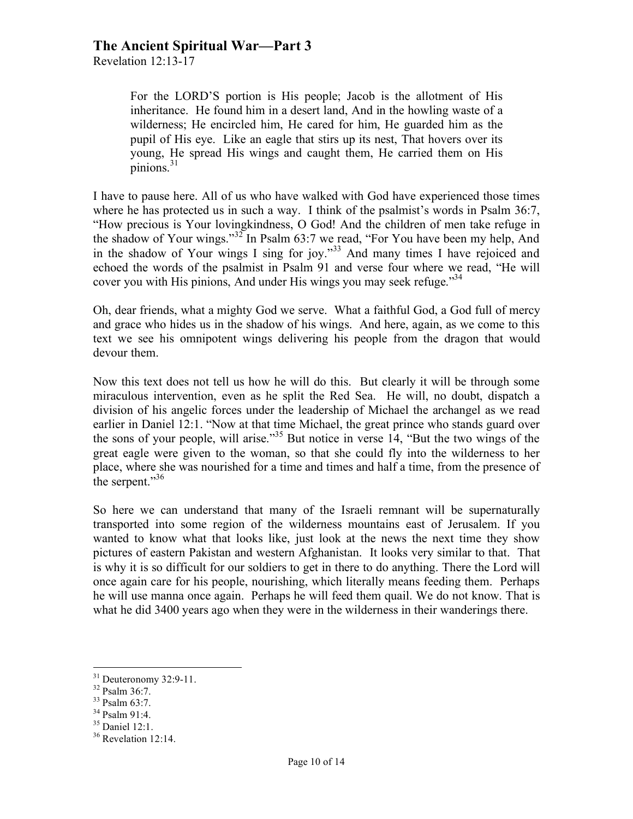Revelation 12:13-17

For the LORD'S portion is His people; Jacob is the allotment of His inheritance. He found him in a desert land, And in the howling waste of a wilderness; He encircled him, He cared for him, He guarded him as the pupil of His eye. Like an eagle that stirs up its nest, That hovers over its young, He spread His wings and caught them, He carried them on His pinions $^{31}$ 

I have to pause here. All of us who have walked with God have experienced those times where he has protected us in such a way. I think of the psalmist's words in Psalm 36:7, "How precious is Your lovingkindness, O God! And the children of men take refuge in the shadow of Your wings."<sup>32</sup> In Psalm 63:7 we read, "For You have been my help, And in the shadow of Your wings I sing for joy." 33 And many times I have rejoiced and echoed the words of the psalmist in Psalm 91 and verse four where we read, "He will cover you with His pinions, And under His wings you may seek refuge.<sup>34</sup>

Oh, dear friends, what a mighty God we serve. What a faithful God, a God full of mercy and grace who hides us in the shadow of his wings. And here, again, as we come to this text we see his omnipotent wings delivering his people from the dragon that would devour them.

Now this text does not tell us how he will do this. But clearly it will be through some miraculous intervention, even as he split the Red Sea. He will, no doubt, dispatch a division of his angelic forces under the leadership of Michael the archangel as we read earlier in Daniel 12:1. "Now at that time Michael, the great prince who stands guard over the sons of your people, will arise."35 But notice in verse 14, "But the two wings of the great eagle were given to the woman, so that she could fly into the wilderness to her place, where she was nourished for a time and times and half a time, from the presence of the serpent."<sup>36</sup>

So here we can understand that many of the Israeli remnant will be supernaturally transported into some region of the wilderness mountains east of Jerusalem. If you wanted to know what that looks like, just look at the news the next time they show pictures of eastern Pakistan and western Afghanistan. It looks very similar to that. That is why it is so difficult for our soldiers to get in there to do anything. There the Lord will once again care for his people, nourishing, which literally means feeding them. Perhaps he will use manna once again. Perhaps he will feed them quail. We do not know. That is what he did 3400 years ago when they were in the wilderness in their wanderings there.

 $31 \text{ Deuteronomy } 32:9-11.$ <br> $32 \text{ Psalm } 36:7.$ 

<sup>33</sup> Psalm 63:7.

<sup>34</sup> Psalm 91:4.

<sup>35</sup> Daniel 12:1.

<sup>&</sup>lt;sup>36</sup> Revelation 12:14.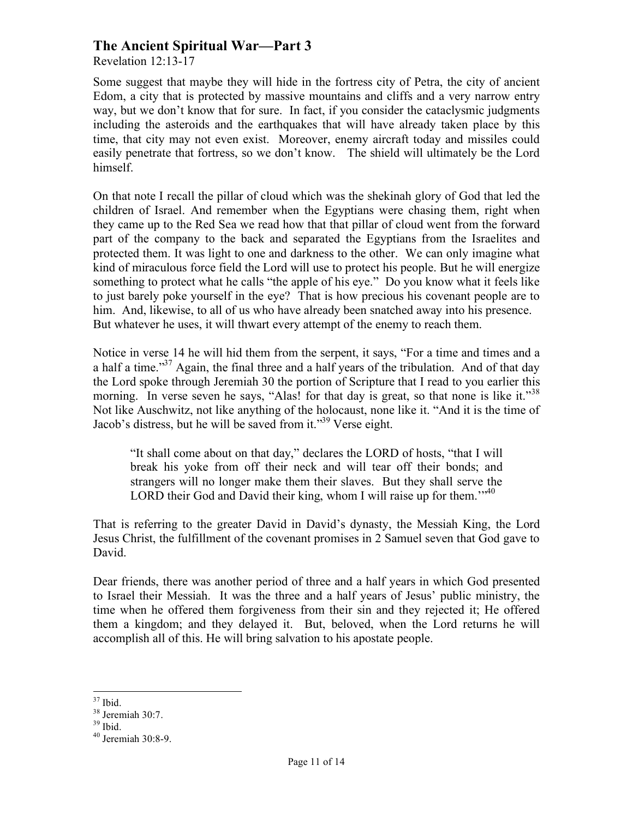Revelation 12:13-17

Some suggest that maybe they will hide in the fortress city of Petra, the city of ancient Edom, a city that is protected by massive mountains and cliffs and a very narrow entry way, but we don't know that for sure. In fact, if you consider the cataclysmic judgments including the asteroids and the earthquakes that will have already taken place by this time, that city may not even exist. Moreover, enemy aircraft today and missiles could easily penetrate that fortress, so we don't know. The shield will ultimately be the Lord himself.

On that note I recall the pillar of cloud which was the shekinah glory of God that led the children of Israel. And remember when the Egyptians were chasing them, right when they came up to the Red Sea we read how that that pillar of cloud went from the forward part of the company to the back and separated the Egyptians from the Israelites and protected them. It was light to one and darkness to the other. We can only imagine what kind of miraculous force field the Lord will use to protect his people. But he will energize something to protect what he calls "the apple of his eye." Do you know what it feels like to just barely poke yourself in the eye? That is how precious his covenant people are to him. And, likewise, to all of us who have already been snatched away into his presence. But whatever he uses, it will thwart every attempt of the enemy to reach them.

Notice in verse 14 he will hid them from the serpent, it says, "For a time and times and a a half a time."<sup>37</sup> Again, the final three and a half years of the tribulation. And of that day the Lord spoke through Jeremiah 30 the portion of Scripture that I read to you earlier this morning. In verse seven he says, "Alas! for that day is great, so that none is like it."<sup>38</sup> Not like Auschwitz, not like anything of the holocaust, none like it. "And it is the time of Jacob's distress, but he will be saved from it."<sup>39</sup> Verse eight.

"It shall come about on that day," declares the LORD of hosts, "that I will break his yoke from off their neck and will tear off their bonds; and strangers will no longer make them their slaves. But they shall serve the LORD their God and David their king, whom I will raise up for them.<sup>" $40$ </sup>

That is referring to the greater David in David's dynasty, the Messiah King, the Lord Jesus Christ, the fulfillment of the covenant promises in 2 Samuel seven that God gave to David.

Dear friends, there was another period of three and a half years in which God presented to Israel their Messiah. It was the three and a half years of Jesus' public ministry, the time when he offered them forgiveness from their sin and they rejected it; He offered them a kingdom; and they delayed it. But, beloved, when the Lord returns he will accomplish all of this. He will bring salvation to his apostate people.

 <sup>37</sup> Ibid.

 $38$  Jeremiah 30:7.

 $39$  Ibid.

<sup>40</sup> Jeremiah 30:8-9.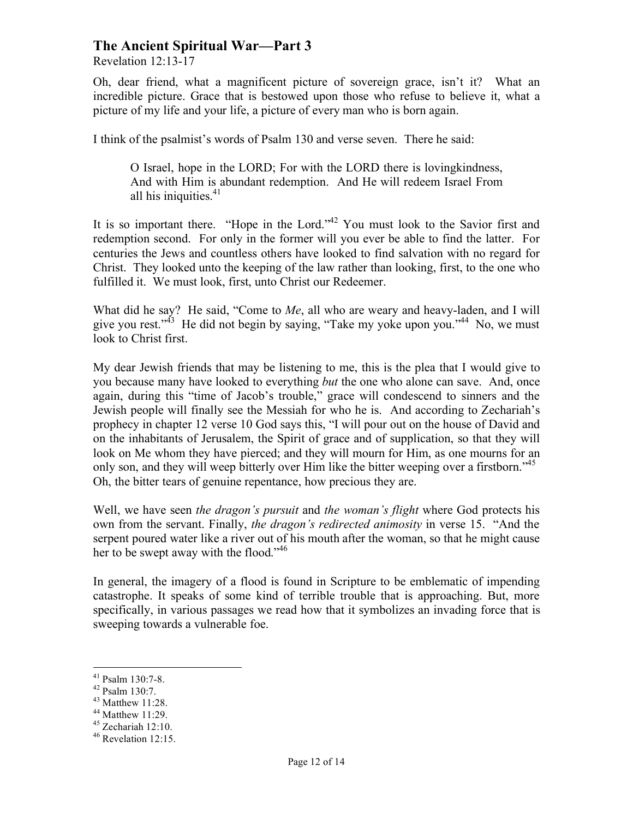Revelation 12:13-17

Oh, dear friend, what a magnificent picture of sovereign grace, isn't it? What an incredible picture. Grace that is bestowed upon those who refuse to believe it, what a picture of my life and your life, a picture of every man who is born again.

I think of the psalmist's words of Psalm 130 and verse seven. There he said:

O Israel, hope in the LORD; For with the LORD there is lovingkindness, And with Him is abundant redemption. And He will redeem Israel From all his iniquities. $41$ 

It is so important there. "Hope in the Lord."<sup>42</sup> You must look to the Savior first and redemption second. For only in the former will you ever be able to find the latter. For centuries the Jews and countless others have looked to find salvation with no regard for Christ. They looked unto the keeping of the law rather than looking, first, to the one who fulfilled it. We must look, first, unto Christ our Redeemer.

What did he say? He said, "Come to *Me*, all who are weary and heavy-laden, and I will give you rest."<sup>43</sup> He did not begin by saying, "Take my yoke upon you."<sup>44</sup> No, we must look to Christ first.

My dear Jewish friends that may be listening to me, this is the plea that I would give to you because many have looked to everything *but* the one who alone can save. And, once again, during this "time of Jacob's trouble," grace will condescend to sinners and the Jewish people will finally see the Messiah for who he is. And according to Zechariah's prophecy in chapter 12 verse 10 God says this, "I will pour out on the house of David and on the inhabitants of Jerusalem, the Spirit of grace and of supplication, so that they will look on Me whom they have pierced; and they will mourn for Him, as one mourns for an only son, and they will weep bitterly over Him like the bitter weeping over a firstborn."<sup>45</sup> Oh, the bitter tears of genuine repentance, how precious they are.

Well, we have seen *the dragon's pursuit* and *the woman's flight* where God protects his own from the servant. Finally, *the dragon's redirected animosity* in verse 15. "And the serpent poured water like a river out of his mouth after the woman, so that he might cause her to be swept away with the flood." 46

In general, the imagery of a flood is found in Scripture to be emblematic of impending catastrophe. It speaks of some kind of terrible trouble that is approaching. But, more specifically, in various passages we read how that it symbolizes an invading force that is sweeping towards a vulnerable foe.

 <sup>41</sup> Psalm 130:7-8. 42 Psalm 130:7.

<sup>43</sup> Matthew 11:28.

<sup>44</sup> Matthew 11:29.

 $45$  Zechariah 12:10.

<sup>46</sup> Revelation 12:15.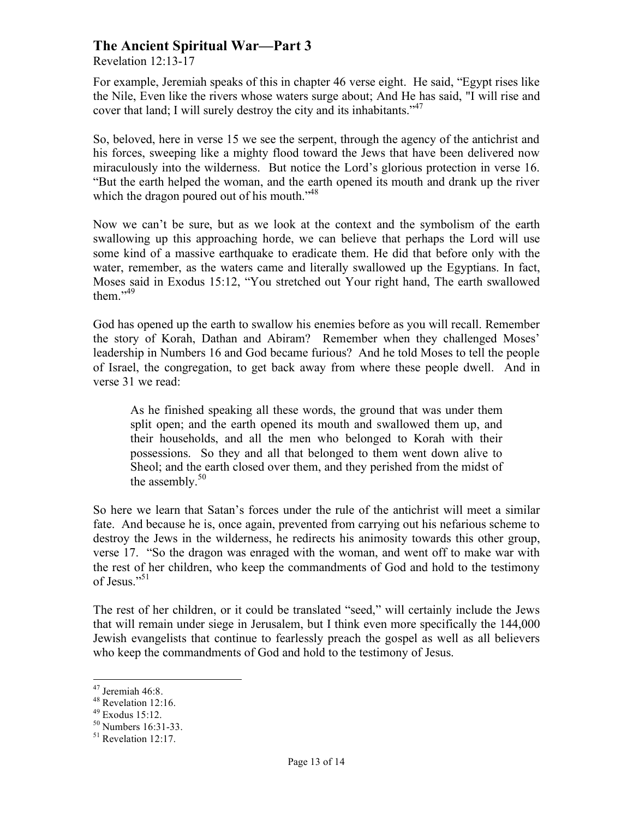Revelation 12:13-17

For example, Jeremiah speaks of this in chapter 46 verse eight. He said, "Egypt rises like the Nile, Even like the rivers whose waters surge about; And He has said, "I will rise and cover that land; I will surely destroy the city and its inhabitants."<sup>47</sup>

So, beloved, here in verse 15 we see the serpent, through the agency of the antichrist and his forces, sweeping like a mighty flood toward the Jews that have been delivered now miraculously into the wilderness. But notice the Lord's glorious protection in verse 16. "But the earth helped the woman, and the earth opened its mouth and drank up the river which the dragon poured out of his mouth."<sup>48</sup>

Now we can't be sure, but as we look at the context and the symbolism of the earth swallowing up this approaching horde, we can believe that perhaps the Lord will use some kind of a massive earthquake to eradicate them. He did that before only with the water, remember, as the waters came and literally swallowed up the Egyptians. In fact, Moses said in Exodus 15:12, "You stretched out Your right hand, The earth swallowed them."<sup>49</sup>

God has opened up the earth to swallow his enemies before as you will recall. Remember the story of Korah, Dathan and Abiram? Remember when they challenged Moses' leadership in Numbers 16 and God became furious? And he told Moses to tell the people of Israel, the congregation, to get back away from where these people dwell. And in verse 31 we read:

As he finished speaking all these words, the ground that was under them split open; and the earth opened its mouth and swallowed them up, and their households, and all the men who belonged to Korah with their possessions. So they and all that belonged to them went down alive to Sheol; and the earth closed over them, and they perished from the midst of the assembly. $50<sup>50</sup>$ 

So here we learn that Satan's forces under the rule of the antichrist will meet a similar fate. And because he is, once again, prevented from carrying out his nefarious scheme to destroy the Jews in the wilderness, he redirects his animosity towards this other group, verse 17. "So the dragon was enraged with the woman, and went off to make war with the rest of her children, who keep the commandments of God and hold to the testimony of Jesus."<sup>51</sup>

The rest of her children, or it could be translated "seed," will certainly include the Jews that will remain under siege in Jerusalem, but I think even more specifically the 144,000 Jewish evangelists that continue to fearlessly preach the gospel as well as all believers who keep the commandments of God and hold to the testimony of Jesus.

 <sup>47</sup> Jeremiah 46:8.

<sup>48</sup> Revelation 12:16.

<sup>49</sup> Exodus 15:12.

 $^{50}$  Numbers 16:31-33.<br><sup>51</sup> Revelation 12:17.